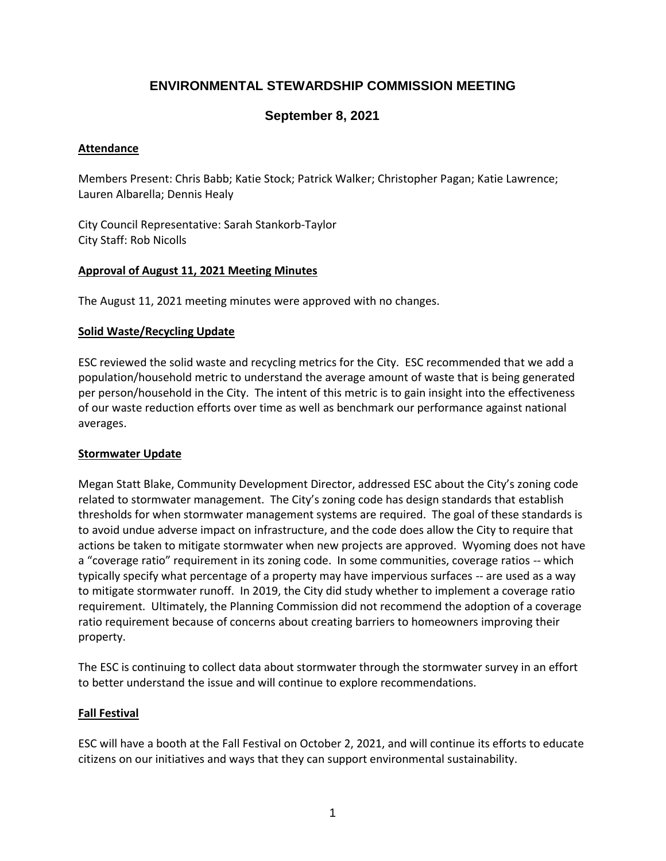# **ENVIRONMENTAL STEWARDSHIP COMMISSION MEETING**

### **September 8, 2021**

### **Attendance**

Members Present: Chris Babb; Katie Stock; Patrick Walker; Christopher Pagan; Katie Lawrence; Lauren Albarella; Dennis Healy

City Council Representative: Sarah Stankorb-Taylor City Staff: Rob Nicolls

#### **Approval of August 11, 2021 Meeting Minutes**

The August 11, 2021 meeting minutes were approved with no changes.

#### **Solid Waste/Recycling Update**

ESC reviewed the solid waste and recycling metrics for the City. ESC recommended that we add a population/household metric to understand the average amount of waste that is being generated per person/household in the City. The intent of this metric is to gain insight into the effectiveness of our waste reduction efforts over time as well as benchmark our performance against national averages.

#### **Stormwater Update**

Megan Statt Blake, Community Development Director, addressed ESC about the City's zoning code related to stormwater management. The City's zoning code has design standards that establish thresholds for when stormwater management systems are required. The goal of these standards is to avoid undue adverse impact on infrastructure, and the code does allow the City to require that actions be taken to mitigate stormwater when new projects are approved. Wyoming does not have a "coverage ratio" requirement in its zoning code. In some communities, coverage ratios -- which typically specify what percentage of a property may have impervious surfaces -- are used as a way to mitigate stormwater runoff. In 2019, the City did study whether to implement a coverage ratio requirement. Ultimately, the Planning Commission did not recommend the adoption of a coverage ratio requirement because of concerns about creating barriers to homeowners improving their property.

The ESC is continuing to collect data about stormwater through the stormwater survey in an effort to better understand the issue and will continue to explore recommendations.

### **Fall Festival**

ESC will have a booth at the Fall Festival on October 2, 2021, and will continue its efforts to educate citizens on our initiatives and ways that they can support environmental sustainability.